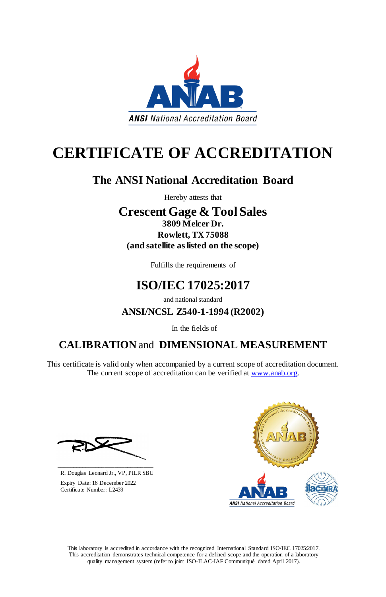This laboratory is accredited in accordance with the recognized International Standard ISO/IEC 17025:2017. This accreditation demonstrates technical competence for a defined scope and the operation of a laboratory quality management system (refer to joint ISO-ILAC-IAF Communiqué dated April 2017).



# **CERTIFICATE OF ACCREDITATION**

This certificate is valid only when accompanied by a current scope of accreditation document. The current scope of accreditation can be verified at [www.anab.org.](http://www.anab.org/)



## **The ANSI National Accreditation Board**

Hereby attests that

### **Crescent Gage & Tool Sales 3809 Melcer Dr. Rowlett, TX 75088 (and satellite as listed on the scope)**

Fulfills the requirements of

# **ISO/IEC 17025:2017**

and national standard

### **ANSI/NCSL Z540-1-1994 (R2002)**

In the fields of

### **CALIBRATION** and **DIMENSIONAL MEASUREMENT**

**\_\_\_\_\_\_\_\_\_\_\_\_\_\_\_\_\_\_\_\_\_\_\_\_\_\_\_\_\_\_** R. Douglas Leonard Jr., VP, PILR SBU

 Expiry Date: 16 December 2022 Certificate Number: L2439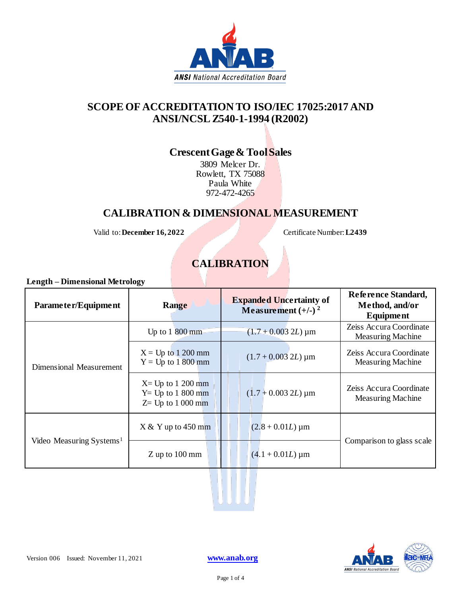

#### **SCOPE OF ACCREDITATION TO ISO/IEC 17025:2017 AND ANSI/NCSL Z540-1-1994 (R2002)**

#### **Crescent Gage & Tool Sales**

3809 Melcer Dr. Rowlett, TX 75088 Paula White 972-472-4265

#### **CALIBRATION & DIMENSIONAL MEASUREMENT**

Valid to: December 16, 2022 Certificate Number: L2439

#### **CALIBRATION**

**Length – Dimensional Metrology**

| Parameter/Equipment                  | Range                                                              | <b>Expanded Uncertainty of</b><br>Measurement $(+/-)$ <sup>2</sup> | Reference Standard,<br>Method, and/or<br>Equipment  |
|--------------------------------------|--------------------------------------------------------------------|--------------------------------------------------------------------|-----------------------------------------------------|
| Dimensional Measurement              | Up to $1800$ mm                                                    | $(1.7 + 0.003 2L) \,\mathrm{\mu m}$                                | Zeiss Accura Coordinate<br><b>Measuring Machine</b> |
|                                      | $X = Up$ to 1 200 mm<br>$Y = Up to 1800 mm$                        | $(1.7 + 0.003 2L) \,\mathrm{\upmu m}$                              | Zeiss Accura Coordinate<br><b>Measuring Machine</b> |
|                                      | $X = Up$ to 1 200 mm<br>$Y = Up to 1800 mm$<br>$Z=$ Up to 1 000 mm | $(1.7 + 0.003 2L) \,\mathrm{\upmu m}$                              | Zeiss Accura Coordinate<br><b>Measuring Machine</b> |
| Video Measuring Systems <sup>1</sup> | $X & Y$ up to 450 mm                                               | $(2.8 + 0.01L) \,\mathrm{\upmu m}$                                 |                                                     |
|                                      | $Z$ up to 100 mm                                                   | $(4.1 + 0.01L) \,\mathrm{\upmu m}$                                 | Comparison to glass scale                           |

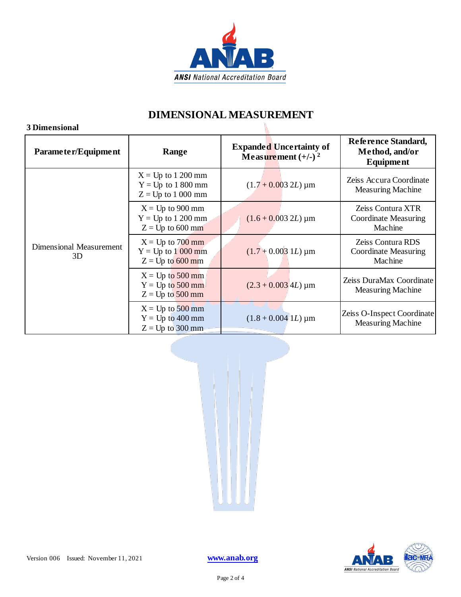

#### **DIMENSIONAL MEASUREMENT**

#### **3 Dimensional**

| Parameter/Equipment           | Range                                                                | <b>Expanded Uncertainty of</b><br>Measurement $(+/-)$ <sup>2</sup> | Reference Standard,<br>Method, and/or<br>Equipment     |
|-------------------------------|----------------------------------------------------------------------|--------------------------------------------------------------------|--------------------------------------------------------|
| Dimensional Measurement<br>3D | $X = Up$ to 1 200 mm<br>$Y = Up$ to 1 800 mm<br>$Z = Up$ to 1 000 mm | $(1.7 + 0.003 2L) \,\mathrm{\upmu m}$                              | Zeiss Accura Coordinate<br><b>Measuring Machine</b>    |
|                               | $X = Up$ to 900 mm<br>$Y = Up$ to 1 200 mm<br>$Z = Up$ to 600 mm     | $(1.6 + 0.003 2L) \,\mathrm{\upmu m}$                              | Zeiss Contura XTR<br>Coordinate Measuring<br>Machine   |
|                               | $X = Up to 700 mm$<br>$Y = Up to 1000 mm$<br>$Z = Up to 600 mm$      | $(1.7 + 0.003$ 1 <i>L</i> ) µm                                     | Zeiss Contura RDS<br>Coordinate Measuring<br>Machine   |
|                               | $X = Up to 500 mm$<br>$Y = Up to 500 mm$<br>$Z = Up to 500 mm$       | $(2.3 + 0.003$ 4L) µm                                              | Zeiss DuraMax Coordinate<br><b>Measuring Machine</b>   |
|                               | $X = Up to 500 mm$<br>$Y = Up to 400 mm$<br>$Z = Up$ to 300 mm       | $(1.8 + 0.004$ 1 <i>L</i> ) $\mu$ m                                | Zeiss O-Inspect Coordinate<br><b>Measuring Machine</b> |



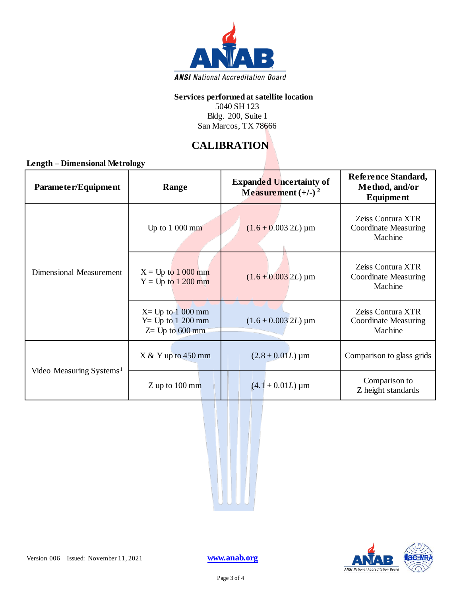

#### **Services performed at satellite location**

5040 SH 123 Bldg. 200, Suite 1 San Marcos, TX 78666

#### **CALIBRATION**

**Length – Dimensional Metrology**

| Parameter/Equipment                  | Range                                                              | <b>Expanded Uncertainty of</b><br>Measurement $(+/-)$ <sup>2</sup> | Reference Standard,<br>Method, and/or<br><b>Equipment</b>   |
|--------------------------------------|--------------------------------------------------------------------|--------------------------------------------------------------------|-------------------------------------------------------------|
| Dimensional Measurement              | Up to $1000 \text{ mm}$                                            | $(1.6 + 0.003 2L) \,\mathrm{\upmu m}$                              | Zeiss Contura XTR<br><b>Coordinate Measuring</b><br>Machine |
|                                      | $X = Up to 1000 mm$<br>$Y = Up to 1200 mm$                         | $(1.6 + 0.003 2L) \,\mathrm{\upmu m}$                              | Zeiss Contura XTR<br>Coordinate Measuring<br>Machine        |
|                                      | $X = Up$ to 1 000 mm<br>$Y = Up to 1 200 mm$<br>$Z = Up to 600 mm$ | $(1.6 + 0.003 2L) \,\text{µm}$                                     | Zeiss Contura XTR<br>Coordinate Measuring<br>Machine        |
| Video Measuring Systems <sup>1</sup> | $X & Y$ up to 450 mm                                               | $(2.8 + 0.01L) \,\mu m$                                            | Comparison to glass grids                                   |
|                                      | $Z$ up to $100$ mm                                                 | $(4.1 + 0.01L) \,\mu m$                                            | Comparison to<br>Z height standards                         |